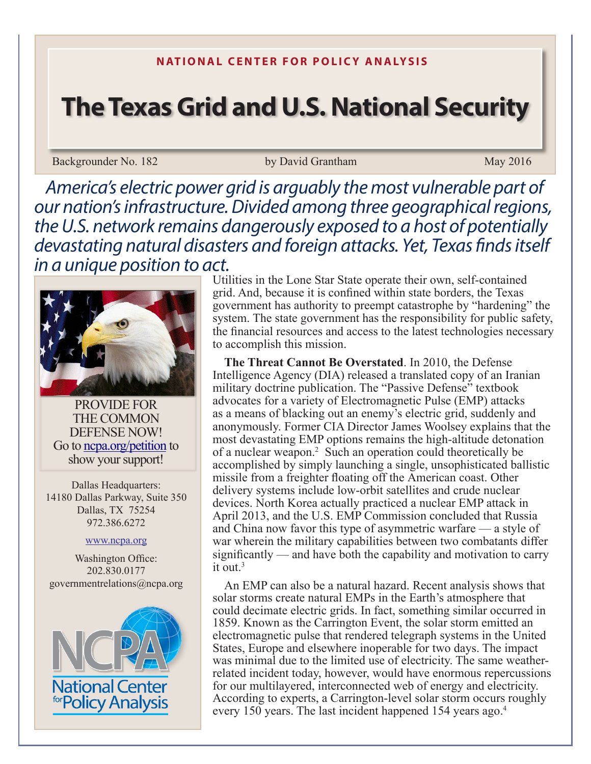# **The Texas Grid and U.S. National Security**

Backgrounder No. 182 by David Grantham May 2016

*America's electric power grid is arguably the most vulnerable part of our nation's infrastructure. Divided among three geographical regions, the U.S. network remains dangerously exposed to a host of potentially devastating natural disasters and foreign attacks. Yet, Texas finds itself in a unique position to act.*



PROVIDE FOR THE COMMON DEFENSE NOW! Go to ncpa.org/petition to show your support!

Dallas Headquarters: 14180 Dallas Parkway, Suite 350 Dallas, TX 75254 972.386.6272

www.ncpa.org

Washington Office: 202.830.0177 governmentrelations@ncpa.org



Utilities in the Lone Star State operate their own, self-contained grid. And, because it is confined within state borders, the Texas government has authority to preempt catastrophe by "hardening" the system. The state government has the responsibility for public safety, the financial resources and access to the latest technologies necessary to accomplish this mission.

**The Threat Cannot Be Overstated**. In 2010, the Defense Intelligence Agency (DIA) released a translated copy of an Iranian military doctrine publication. The "Passive Defense" textbook advocates for a variety of Electromagnetic Pulse (EMP) attacks as a means of blacking out an enemy's electric grid, suddenly and anonymously. Former CIA Director James Woolsey explains that the most devastating EMP options remains the high-altitude detonation of a nuclear weapon.<sup>2</sup> Such an operation could theoretically be accomplished by simply launching a single, unsophisticated ballistic missile from a freighter floating off the American coast. Other delivery systems include low-orbit satellites and crude nuclear devices. North Korea actually practiced a nuclear EMP attack in April 2013, and the U.S. EMP Commission concluded that Russia and China now favor this type of asymmetric warfare — a style of war wherein the military capabilities between two combatants differ significantly — and have both the capability and motivation to carry it out. $3$ 

An EMP can also be a natural hazard. Recent analysis shows that solar storms create natural EMPs in the Earth's atmosphere that could decimate electric grids. In fact, something similar occurred in 1859. Known as the Carrington Event, the solar storm emitted an electromagnetic pulse that rendered telegraph systems in the United States, Europe and elsewhere inoperable for two days. The impact was minimal due to the limited use of electricity. The same weatherrelated incident today, however, would have enormous repercussions for our multilayered, interconnected web of energy and electricity. According to experts, a Carrington-level solar storm occurs roughly every 150 years. The last incident happened 154 years ago.<sup>4</sup>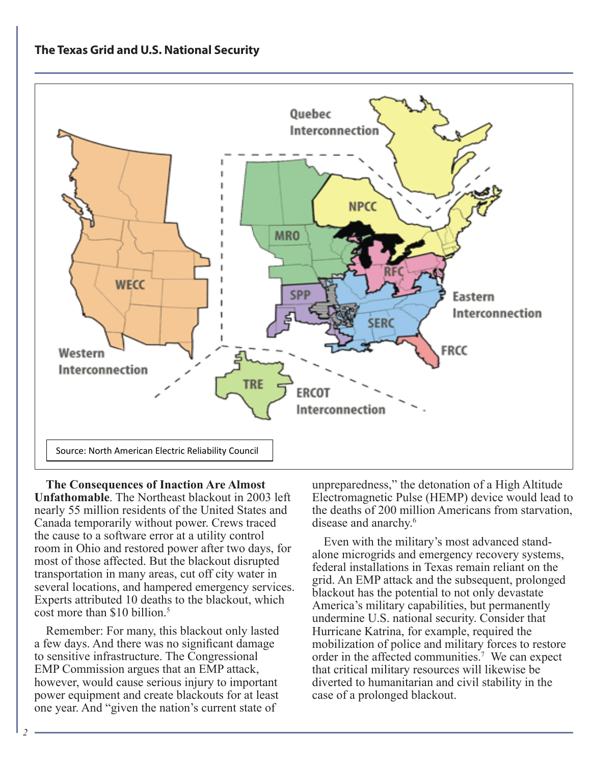# **The Texas Grid and U.S. National Security**



**The Consequences of Inaction Are Almost Unfathomable**. The Northeast blackout in 2003 left nearly 55 million residents of the United States and Canada temporarily without power. Crews traced the cause to a software error at a utility control room in Ohio and restored power after two days, for most of those affected. But the blackout disrupted transportation in many areas, cut off city water in several locations, and hampered emergency services. Experts attributed 10 deaths to the blackout, which cost more than \$10 billion.<sup>5</sup>

Remember: For many, this blackout only lasted a few days. And there was no significant damage to sensitive infrastructure. The Congressional EMP Commission argues that an EMP attack, however, would cause serious injury to important power equipment and create blackouts for at least one year. And "given the nation's current state of

unpreparedness," the detonation of a High Altitude Electromagnetic Pulse (HEMP) device would lead to the deaths of 200 million Americans from starvation, disease and anarchy.<sup>6</sup>

Even with the military's most advanced standalone microgrids and emergency recovery systems, federal installations in Texas remain reliant on the grid. An EMP attack and the subsequent, prolonged blackout has the potential to not only devastate America's military capabilities, but permanently undermine U.S. national security. Consider that Hurricane Katrina, for example, required the mobilization of police and military forces to restore order in the affected communities.<sup>7</sup> We can expect that critical military resources will likewise be diverted to humanitarian and civil stability in the case of a prolonged blackout.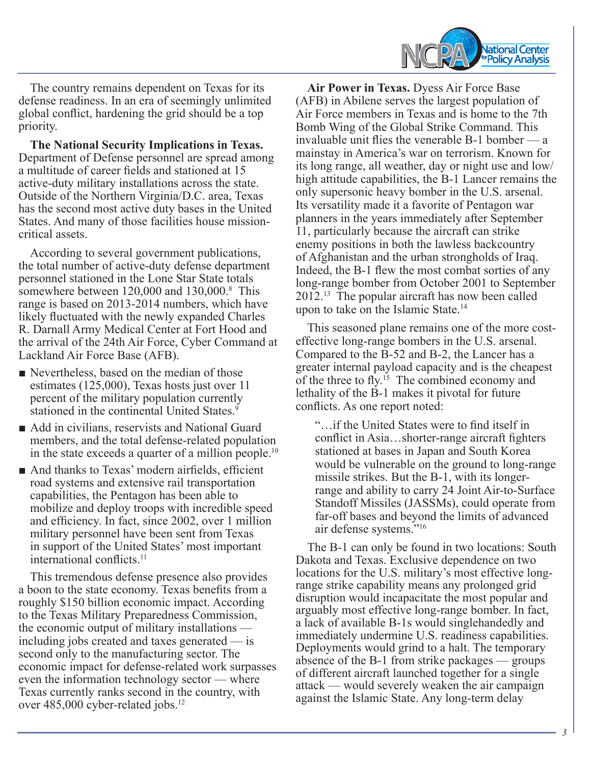

The country remains dependent on Texas for its defense readiness. In an era of seemingly unlimited global conflict, hardening the grid should be a top priority.

**The National Security Implications in Texas.**  Department of Defense personnel are spread among a multitude of career fields and stationed at 15 active-duty military installations across the state. Outside of the Northern Virginia/D.C. area, Texas has the second most active duty bases in the United States. And many of those facilities house missioncritical assets.

According to several government publications, the total number of active-duty defense department personnel stationed in the Lone Star State totals somewhere between 120,000 and 130,000.<sup>8</sup> This range is based on 2013-2014 numbers, which have likely fluctuated with the newly expanded Charles R. Darnall Army Medical Center at Fort Hood and the arrival of the 24th Air Force, Cyber Command at Lackland Air Force Base (AFB).

- Nevertheless, based on the median of those estimates (125,000), Texas hosts just over 11 percent of the military population currently stationed in the continental United States.<sup>9</sup>
- Add in civilians, reservists and National Guard members, and the total defense-related population in the state exceeds a quarter of a million people.<sup>10</sup>
- And thanks to Texas' modern airfields, efficient road systems and extensive rail transportation capabilities, the Pentagon has been able to mobilize and deploy troops with incredible speed and efficiency. In fact, since 2002, over 1 million military personnel have been sent from Texas in support of the United States' most important international conflicts.<sup>11</sup>

This tremendous defense presence also provides a boon to the state economy. Texas benefits from a roughly \$150 billion economic impact. According to the Texas Military Preparedness Commission, the economic output of military installations including jobs created and taxes generated  $-$  is second only to the manufacturing sector. The economic impact for defense-related work surpasses even the information technology sector — where Texas currently ranks second in the country, with over 485,000 cyber-related jobs.12

**Air Power in Texas.** Dyess Air Force Base (AFB) in Abilene serves the largest population of Air Force members in Texas and is home to the 7th Bomb Wing of the Global Strike Command. This invaluable unit flies the venerable  $B-1$  bomber — a mainstay in America's war on terrorism. Known for its long range, all weather, day or night use and low/ high attitude capabilities, the B-1 Lancer remains the only supersonic heavy bomber in the U.S. arsenal. Its versatility made it a favorite of Pentagon war planners in the years immediately after September 11, particularly because the aircraft can strike enemy positions in both the lawless backcountry of Afghanistan and the urban strongholds of Iraq. Indeed, the B-1 flew the most combat sorties of any long-range bomber from October 2001 to September 2012.13 The popular aircraft has now been called upon to take on the Islamic State.<sup>14</sup>

This seasoned plane remains one of the more costeffective long-range bombers in the U.S. arsenal. Compared to the B-52 and B-2, the Lancer has a greater internal payload capacity and is the cheapest of the three to fly.<sup>15</sup> The combined economy and lethality of the B-1 makes it pivotal for future conflicts. As one report noted:

"…if the United States were to find itself in conflict in Asia…shorter-range aircraft fighters stationed at bases in Japan and South Korea would be vulnerable on the ground to long-range missile strikes. But the B-1, with its longerrange and ability to carry 24 Joint Air-to-Surface Standoff Missiles (JASSMs), could operate from far-off bases and beyond the limits of advanced air defense systems."<sup>16</sup>

The B-1 can only be found in two locations: South Dakota and Texas. Exclusive dependence on two locations for the U.S. military's most effective longrange strike capability means any prolonged grid disruption would incapacitate the most popular and arguably most effective long-range bomber. In fact, a lack of available B-1s would singlehandedly and immediately undermine U.S. readiness capabilities. Deployments would grind to a halt. The temporary absence of the B-1 from strike packages  $-$  groups of different aircraft launched together for a single attack ‒‒ would severely weaken the air campaign against the Islamic State. Any long-term delay

*3*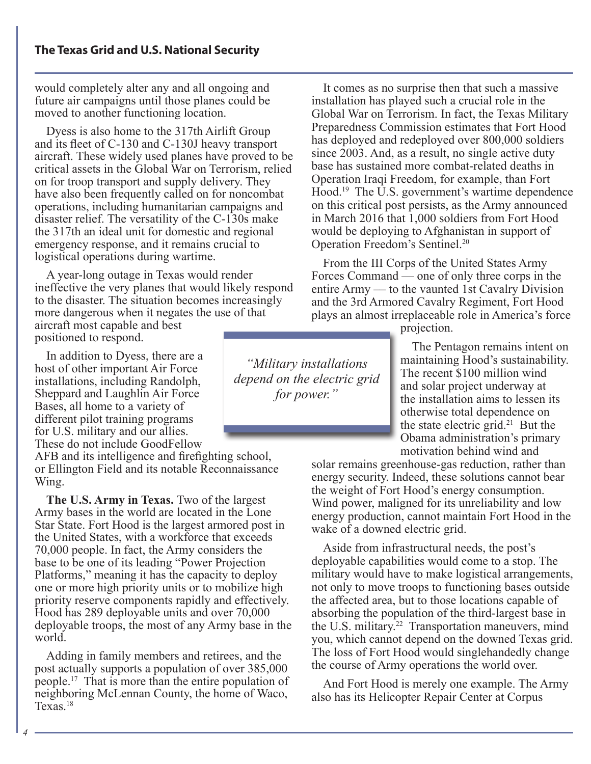would completely alter any and all ongoing and future air campaigns until those planes could be moved to another functioning location.

Dyess is also home to the 317th Airlift Group and its fleet of C-130 and C-130J heavy transport aircraft. These widely used planes have proved to be critical assets in the Global War on Terrorism, relied on for troop transport and supply delivery. They have also been frequently called on for noncombat operations, including humanitarian campaigns and disaster relief. The versatility of the C-130s make the 317th an ideal unit for domestic and regional emergency response, and it remains crucial to logistical operations during wartime.

A year-long outage in Texas would render ineffective the very planes that would likely respond to the disaster. The situation becomes increasingly more dangerous when it negates the use of that aircraft most capable and best positioned to respond.

In addition to Dyess, there are a host of other important Air Force installations, including Randolph, Sheppard and Laughlin Air Force Bases, all home to a variety of different pilot training programs for U.S. military and our allies. These do not include GoodFellow

AFB and its intelligence and firefighting school, or Ellington Field and its notable Reconnaissance Wing.

**The U.S. Army in Texas.** Two of the largest Army bases in the world are located in the Lone Star State. Fort Hood is the largest armored post in the United States, with a workforce that exceeds 70,000 people. In fact, the Army considers the base to be one of its leading "Power Projection Platforms," meaning it has the capacity to deploy one or more high priority units or to mobilize high priority reserve components rapidly and effectively. Hood has 289 deployable units and over 70,000 deployable troops, the most of any Army base in the world.

Adding in family members and retirees, and the post actually supports a population of over 385,000 people.17 That is more than the entire population of neighboring McLennan County, the home of Waco, Texas.<sup>18</sup>

It comes as no surprise then that such a massive installation has played such a crucial role in the Global War on Terrorism. In fact, the Texas Military Preparedness Commission estimates that Fort Hood has deployed and redeployed over 800,000 soldiers since 2003. And, as a result, no single active duty base has sustained more combat-related deaths in Operation Iraqi Freedom, for example, than Fort Hood.<sup>19</sup> The U.S. government's wartime dependence on this critical post persists, as the Army announced in March 2016 that 1,000 soldiers from Fort Hood would be deploying to Afghanistan in support of Operation Freedom's Sentinel.20

From the III Corps of the United States Army Forces Command — one of only three corps in the entire Army — to the vaunted 1st Cavalry Division and the 3rd Armored Cavalry Regiment, Fort Hood plays an almost irreplaceable role in America's force

projection.

The Pentagon remains intent on maintaining Hood's sustainability. The recent \$100 million wind and solar project underway at the installation aims to lessen its otherwise total dependence on the state electric grid.<sup>21</sup> But the Obama administration's primary motivation behind wind and

solar remains greenhouse-gas reduction, rather than energy security. Indeed, these solutions cannot bear the weight of Fort Hood's energy consumption. Wind power, maligned for its unreliability and low energy production, cannot maintain Fort Hood in the wake of a downed electric grid.

Aside from infrastructural needs, the post's deployable capabilities would come to a stop. The military would have to make logistical arrangements, not only to move troops to functioning bases outside the affected area, but to those locations capable of absorbing the population of the third-largest base in the U.S. military.<sup>22</sup> Transportation maneuvers, mind you, which cannot depend on the downed Texas grid. The loss of Fort Hood would singlehandedly change the course of Army operations the world over.

And Fort Hood is merely one example. The Army also has its Helicopter Repair Center at Corpus

depend on the electric grid *"Military installations for power."*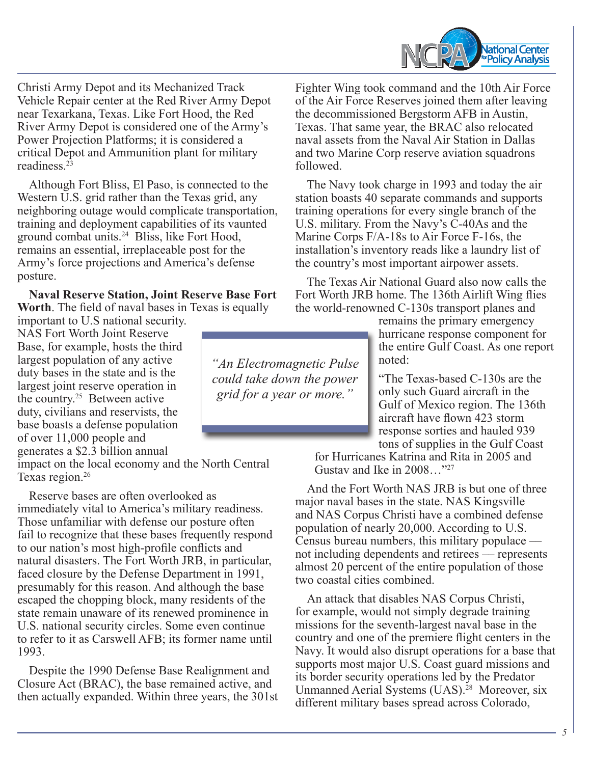

Christi Army Depot and its Mechanized Track Vehicle Repair center at the Red River Army Depot near Texarkana, Texas. Like Fort Hood, the Red River Army Depot is considered one of the Army's Power Projection Platforms; it is considered a critical Depot and Ammunition plant for military readiness.<sup>23</sup>

Although Fort Bliss, El Paso, is connected to the Western U.S. grid rather than the Texas grid, any neighboring outage would complicate transportation, training and deployment capabilities of its vaunted ground combat units.24 Bliss, like Fort Hood, remains an essential, irreplaceable post for the Army's force projections and America's defense posture.

**Naval Reserve Station, Joint Reserve Base Fort Worth**. The field of naval bases in Texas is equally

important to U.S national security. NAS Fort Worth Joint Reserve Base, for example, hosts the third largest population of any active duty bases in the state and is the largest joint reserve operation in the country.25 Between active duty, civilians and reservists, the base boasts a defense population of over 11,000 people and generates a \$2.3 billion annual

impact on the local economy and the North Central Texas region.<sup>26</sup>

Reserve bases are often overlooked as immediately vital to America's military readiness. Those unfamiliar with defense our posture often fail to recognize that these bases frequently respond to our nation's most high-profile conflicts and natural disasters. The Fort Worth JRB, in particular, faced closure by the Defense Department in 1991, presumably for this reason. And although the base escaped the chopping block, many residents of the state remain unaware of its renewed prominence in U.S. national security circles. Some even continue to refer to it as Carswell AFB; its former name until 1993.

Despite the 1990 Defense Base Realignment and Closure Act (BRAC), the base remained active, and then actually expanded. Within three years, the 301st Fighter Wing took command and the 10th Air Force of the Air Force Reserves joined them after leaving the decommissioned Bergstorm AFB in Austin, Texas. That same year, the BRAC also relocated naval assets from the Naval Air Station in Dallas and two Marine Corp reserve aviation squadrons followed.

The Navy took charge in 1993 and today the air station boasts 40 separate commands and supports training operations for every single branch of the U.S. military. From the Navy's C-40As and the Marine Corps F/A-18s to Air Force F-16s, the installation's inventory reads like a laundry list of the country's most important airpower assets.

The Texas Air National Guard also now calls the Fort Worth JRB home. The 136th Airlift Wing flies the world-renowned C-130s transport planes and

> remains the primary emergency hurricane response component for the entire Gulf Coast. As one report noted:

"The Texas-based C-130s are the only such Guard aircraft in the Gulf of Mexico region. The 136th aircraft have flown 423 storm response sorties and hauled 939 tons of supplies in the Gulf Coast

for Hurricanes Katrina and Rita in 2005 and Gustav and Ike in 2008…"27

And the Fort Worth NAS JRB is but one of three major naval bases in the state. NAS Kingsville and NAS Corpus Christi have a combined defense population of nearly 20,000. According to U.S. Census bureau numbers, this military populace not including dependents and retirees — represents almost 20 percent of the entire population of those two coastal cities combined.

An attack that disables NAS Corpus Christi, for example, would not simply degrade training missions for the seventh-largest naval base in the country and one of the premiere flight centers in the Navy. It would also disrupt operations for a base that supports most major U.S. Coast guard missions and its border security operations led by the Predator Unmanned Aerial Systems (UAS).<sup>28</sup> Moreover, six different military bases spread across Colorado,

could take down the power<br>could feature and move in *"An Electromagnetic Pulse grid for a year or more."*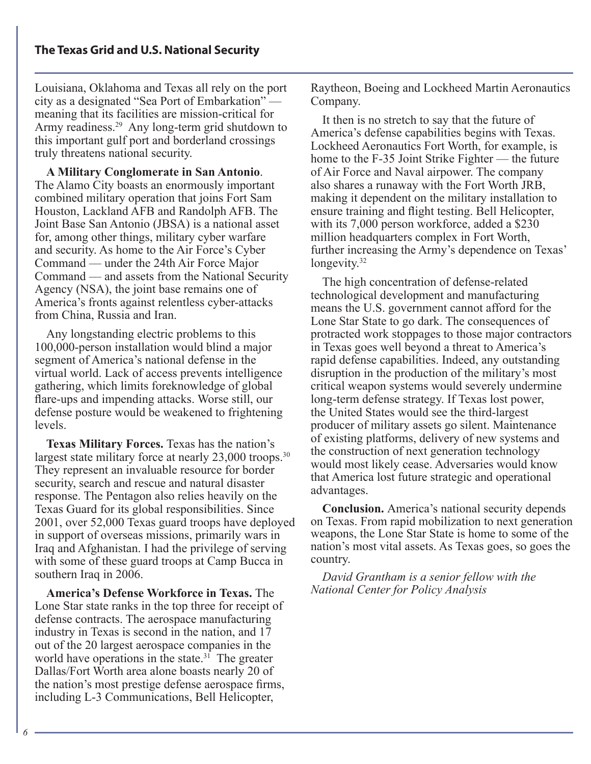Louisiana, Oklahoma and Texas all rely on the port city as a designated "Sea Port of Embarkation" meaning that its facilities are mission-critical for Army readiness.<sup>29</sup> Any long-term grid shutdown to this important gulf port and borderland crossings truly threatens national security.

**A Military Conglomerate in San Antonio**. The Alamo City boasts an enormously important combined military operation that joins Fort Sam Houston, Lackland AFB and Randolph AFB. The Joint Base San Antonio (JBSA) is a national asset for, among other things, military cyber warfare and security. As home to the Air Force's Cyber Command — under the 24th Air Force Major Command — and assets from the National Security Agency (NSA), the joint base remains one of America's fronts against relentless cyber-attacks from China, Russia and Iran.

Any longstanding electric problems to this 100,000-person installation would blind a major segment of America's national defense in the virtual world. Lack of access prevents intelligence gathering, which limits foreknowledge of global flare-ups and impending attacks. Worse still, our defense posture would be weakened to frightening levels.

**Texas Military Forces.** Texas has the nation's largest state military force at nearly  $23,000$  troops.<sup>30</sup> They represent an invaluable resource for border security, search and rescue and natural disaster response. The Pentagon also relies heavily on the Texas Guard for its global responsibilities. Since 2001, over 52,000 Texas guard troops have deployed in support of overseas missions, primarily wars in Iraq and Afghanistan. I had the privilege of serving with some of these guard troops at Camp Bucca in southern Iraq in 2006.

**America's Defense Workforce in Texas.** The Lone Star state ranks in the top three for receipt of defense contracts. The aerospace manufacturing industry in Texas is second in the nation, and 17 out of the 20 largest aerospace companies in the world have operations in the state.<sup>31</sup> The greater Dallas/Fort Worth area alone boasts nearly 20 of the nation's most prestige defense aerospace firms, including L-3 Communications, Bell Helicopter,

Raytheon, Boeing and Lockheed Martin Aeronautics Company.

It then is no stretch to say that the future of America's defense capabilities begins with Texas. Lockheed Aeronautics Fort Worth, for example, is home to the F-35 Joint Strike Fighter — the future of Air Force and Naval airpower. The company also shares a runaway with the Fort Worth JRB, making it dependent on the military installation to ensure training and flight testing. Bell Helicopter, with its 7,000 person workforce, added a \$230 million headquarters complex in Fort Worth, further increasing the Army's dependence on Texas' longevity. $32$ 

The high concentration of defense-related technological development and manufacturing means the U.S. government cannot afford for the Lone Star State to go dark. The consequences of protracted work stoppages to those major contractors in Texas goes well beyond a threat to America's rapid defense capabilities. Indeed, any outstanding disruption in the production of the military's most critical weapon systems would severely undermine long-term defense strategy. If Texas lost power, the United States would see the third-largest producer of military assets go silent. Maintenance of existing platforms, delivery of new systems and the construction of next generation technology would most likely cease. Adversaries would know that America lost future strategic and operational advantages.

**Conclusion.** America's national security depends on Texas. From rapid mobilization to next generation weapons, the Lone Star State is home to some of the nation's most vital assets. As Texas goes, so goes the country.

*David Grantham is a senior fellow with the National Center for Policy Analysis*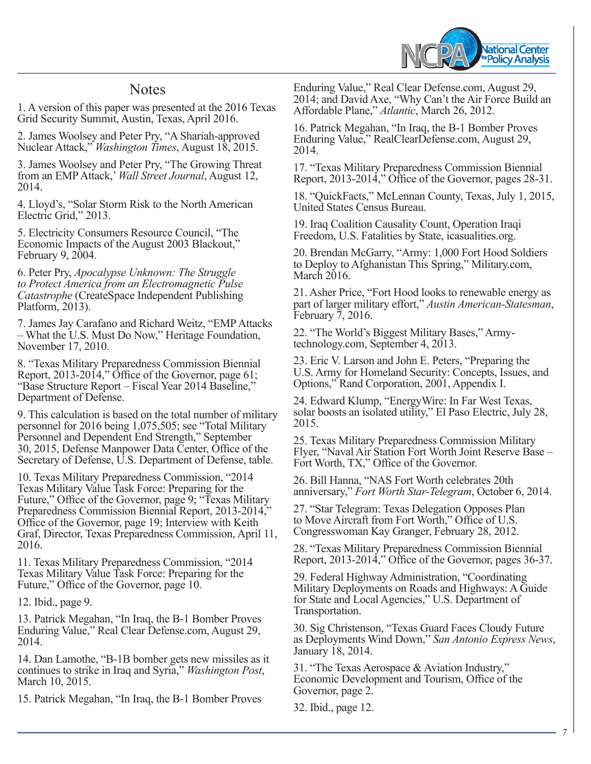

# **Notes**

1. A version of this paper was presented at the 2016 Texas Grid Security Summit, Austin, Texas, April 2016.

2. James Woolsey and Peter Pry, "A Shariah-approved Nuclear Attack," *Washington Times*, August 18, 2015.

3. James Woolsey and Peter Pry, "The Growing Threat from an EMP Attack,' *Wall Street Journal*, August 12, 2014.

4. Lloyd's, "Solar Storm Risk to the North American Electric Grid," 2013.

5. Electricity Consumers Resource Council, "The Economic Impacts of the August 2003 Blackout," February 9, 2004.

6. Peter Pry, *Apocalypse Unknown: The Struggle to Protect America from an Electromagnetic Pulse Catastrophe* (CreateSpace Independent Publishing Platform, 2013).

7. James Jay Carafano and Richard Weitz, "EMP Attacks – What the U.S. Must Do Now," Heritage Foundation, November 17, 2010.

8. "Texas Military Preparedness Commission Biennial Report, 2013-2014," Office of the Governor, page 61; "Base Structure Report – Fiscal Year 2014 Baseline," Department of Defense.

9. This calculation is based on the total number of military personnel for 2016 being 1,075,505; see "Total Military Personnel and Dependent End Strength," September 30, 2015, Defense Manpower Data Center, Office of the Secretary of Defense, U.S. Department of Defense, table.

10. Texas Military Preparedness Commission, "2014 Texas Military Value Task Force: Preparing for the Future," Office of the Governor, page 9; "Texas Military Preparedness Commission Biennial Report, 2013-2014," Office of the Governor, page 19; Interview with Keith Graf, Director, Texas Preparedness Commission, April 11, 2016.

11. Texas Military Preparedness Commission, "2014 Texas Military Value Task Force: Preparing for the Future," Office of the Governor, page 10.

12. Ibid., page 9.

13. Patrick Megahan, "In Iraq, the B-1 Bomber Proves Enduring Value," Real Clear Defense.com, August 29, 2014.

14. Dan Lamothe, "B-1B bomber gets new missiles as it continues to strike in Iraq and Syria," *Washington Post*, March 10, 2015.

15. Patrick Megahan, "In Iraq, the B-1 Bomber Proves

Enduring Value," Real Clear Defense.com, August 29, 2014; and David Axe, "Why Can't the Air Force Build an Affordable Plane," *Atlantic*, March 26, 2012.

16. Patrick Megahan, "In Iraq, the B-1 Bomber Proves Enduring Value," RealClearDefense.com, August 29, 2014.

17. "Texas Military Preparedness Commission Biennial Report, 2013-2014," Office of the Governor, pages 28-31.

18. "QuickFacts," McLennan County, Texas, July 1, 2015, United States Census Bureau.

19. Iraq Coalition Causality Count, Operation Iraqi Freedom, U.S. Fatalities by State, icasualities.org.

20. Brendan McGarry, "Army: 1,000 Fort Hood Soldiers to Deploy to Afghanistan This Spring," Military.com, March 2016.

21. Asher Price, "Fort Hood looks to renewable energy as part of larger military effort," *Austin American-Statesman*, February 7, 2016.

22. "The World's Biggest Military Bases," Armytechnology.com, September 4, 2013.

23. Eric V. Larson and John E. Peters, "Preparing the U.S. Army for Homeland Security: Concepts, Issues, and Options," Rand Corporation, 2001, Appendix I.

24. Edward Klump, "EnergyWire: In Far West Texas, solar boosts an isolated utility," El Paso Electric, July 28, 2015.

25. Texas Military Preparedness Commission Military Flyer, "Naval Air Station Fort Worth Joint Reserve Base – Fort Worth, TX," Office of the Governor.

26. Bill Hanna, "NAS Fort Worth celebrates 20th anniversary," *Fort Worth Star-Telegram*, October 6, 2014.

27. "Star Telegram: Texas Delegation Opposes Plan to Move Aircraft from Fort Worth," Office of U.S. Congresswoman Kay Granger, February 28, 2012.

28. "Texas Military Preparedness Commission Biennial Report, 2013-2014," Office of the Governor, pages 36-37.

29. Federal Highway Administration, "Coordinating Military Deployments on Roads and Highways: A Guide for State and Local Agencies," U.S. Department of Transportation.

30. Sig Christenson, "Texas Guard Faces Cloudy Future as Deployments Wind Down," *San Antonio Express News*, January 18, 2014.

31. "The Texas Aerospace & Aviation Industry," Economic Development and Tourism, Office of the Governor, page 2.

32. Ibid., page 12.